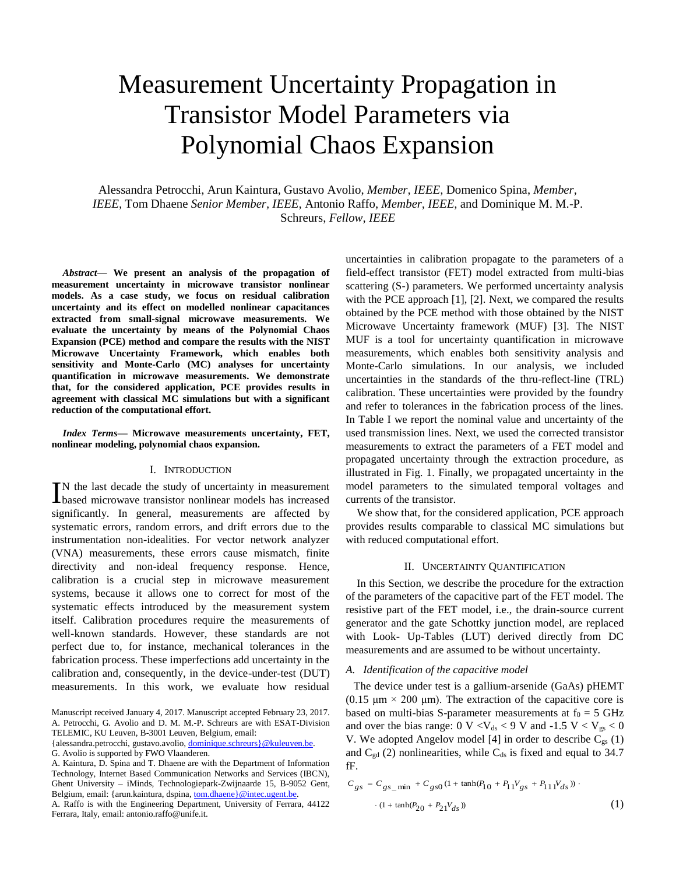# Measurement Uncertainty Propagation in Transistor Model Parameters via Polynomial Chaos Expansion

Alessandra Petrocchi, Arun Kaintura, Gustavo Avolio, *Member, IEEE,* Domenico Spina, *Member, IEEE,* Tom Dhaene *Senior Member, IEEE,* Antonio Raffo, *Member, IEEE,* and Dominique M. M.-P. Schreurs, *Fellow, IEEE*

*Abstract***— We present an analysis of the propagation of measurement uncertainty in microwave transistor nonlinear models. As a case study, we focus on residual calibration uncertainty and its effect on modelled nonlinear capacitances extracted from small-signal microwave measurements. We evaluate the uncertainty by means of the Polynomial Chaos Expansion (PCE) method and compare the results with the NIST Microwave Uncertainty Framework, which enables both sensitivity and Monte-Carlo (MC) analyses for uncertainty quantification in microwave measurements. We demonstrate that, for the considered application, PCE provides results in agreement with classical MC simulations but with a significant reduction of the computational effort.**

*Index Terms***— Microwave measurements uncertainty, FET, nonlinear modeling, polynomial chaos expansion.**

# I. INTRODUCTION

N the last decade the study of uncertainty in measurement IN the last decade the study of uncertainty in measurement based microwave transistor nonlinear models has increased significantly. In general, measurements are affected by systematic errors, random errors, and drift errors due to the instrumentation non-idealities. For vector network analyzer (VNA) measurements, these errors cause mismatch, finite directivity and non-ideal frequency response. Hence, calibration is a crucial step in microwave measurement systems, because it allows one to correct for most of the systematic effects introduced by the measurement system itself. Calibration procedures require the measurements of well-known standards. However, these standards are not perfect due to, for instance, mechanical tolerances in the fabrication process. These imperfections add uncertainty in the calibration and, consequently, in the device-under-test (DUT) measurements. In this work, we evaluate how residual

A. Raffo is with the Engineering Department, University of Ferrara, 44122 Ferrara, Italy, email: antonio.raffo@unife.it.

uncertainties in calibration propagate to the parameters of a field-effect transistor (FET) model extracted from multi-bias scattering (S-) parameters. We performed uncertainty analysis with the PCE approach [1], [2]. Next, we compared the results obtained by the PCE method with those obtained by the NIST Microwave Uncertainty framework (MUF) [3]. The NIST MUF is a tool for uncertainty quantification in microwave measurements, which enables both sensitivity analysis and Monte-Carlo simulations. In our analysis, we included uncertainties in the standards of the thru-reflect-line (TRL) calibration. These uncertainties were provided by the foundry and refer to tolerances in the fabrication process of the lines. In Table I we report the nominal value and uncertainty of the used transmission lines. Next, we used the corrected transistor measurements to extract the parameters of a FET model and propagated uncertainty through the extraction procedure, as illustrated in Fig. 1. Finally, we propagated uncertainty in the model parameters to the simulated temporal voltages and currents of the transistor.

We show that, for the considered application, PCE approach provides results comparable to classical MC simulations but with reduced computational effort.

# II. UNCERTAINTY QUANTIFICATION

In this Section, we describe the procedure for the extraction of the parameters of the capacitive part of the FET model. The resistive part of the FET model, i.e., the drain-source current generator and the gate Schottky junction model, are replaced with Look- Up-Tables (LUT) derived directly from DC measurements and are assumed to be without uncertainty.

#### *A. Identification of the capacitive model*

The device under test is a gallium-arsenide (GaAs) pHEMT (0.15  $\mu$ m × 200  $\mu$ m). The extraction of the capacitive core is based on multi-bias S-parameter measurements at  $f_0 = 5$  GHz and over the bias range:  $0 \, \text{V} < \text{V}_{ds} < 9 \, \text{V}$  and  $-1.5 \, \text{V} < \text{V}_{gs} < 0$ V. We adopted Angelov model [4] in order to describe  $C_{gs}$  (1) and  $C_{gd}$  (2) nonlinearities, while  $C_{ds}$  is fixed and equal to 34.7 fF.

$$
C_{gs} = C_{gs\_min} + C_{gs0} (1 + \tanh(P_{10} + P_{11}V_{gs} + P_{11}V_{ds}))
$$
  
. (1 + tanh(P\_{20} + P\_{21}V\_{ds})) (1)

Manuscript received January 4, 2017. Manuscript accepted February 23, 2017. A. Petrocchi, G. Avolio and D. M. M.-P. Schreurs are with ESAT-Division TELEMIC, KU Leuven, B-3001 Leuven, Belgium, email:

<sup>{</sup>alessandra.petrocchi, gustavo.avolio[, dominique.schreurs}@kuleuven.be.](mailto:dominique.schreurs%7d@kuleuven.be)

G. Avolio is supported by FWO Vlaanderen.

A. Kaintura, D. Spina and T. Dhaene are with the Department of Information Technology, Internet Based Communication Networks and Services (IBCN), Ghent University – iMinds, Technologiepark-Zwijnaarde 15, B-9052 Gent, Belgium, email: {arun.kaintura, dspina[, tom.dhaene}@intec.ugent.be.](mailto:tom.dhaene%7D@intec.ugent.be)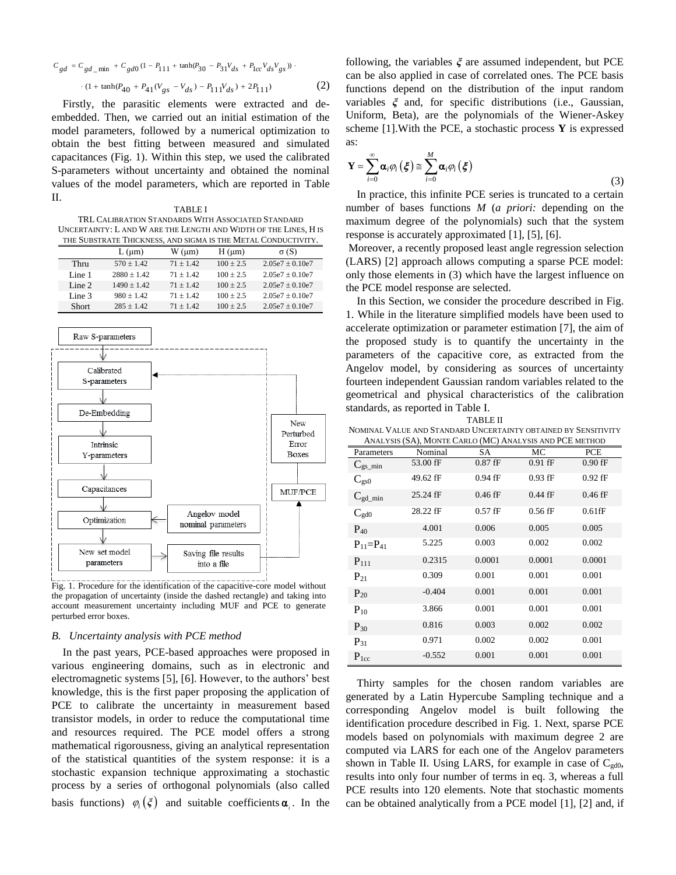$$
C_{gd} = C_{gd\_min} + C_{gd0} (1 - P_{111} + \tanh(P_{30} - P_{31}V_{ds} + P_{1cc}V_{ds}V_{gs}))
$$
  
. (1 + tanh(P<sub>40</sub> + P<sub>41</sub>(V<sub>gs</sub> - V<sub>ds</sub>) - P<sub>111</sub>V<sub>ds</sub>) + 2P<sub>111</sub>) (2)

Firstly, the parasitic elements were extracted and deembedded. Then, we carried out an initial estimation of the model parameters, followed by a numerical optimization to obtain the best fitting between measured and simulated capacitances (Fig. 1). Within this step, we used the calibrated S-parameters without uncertainty and obtained the nominal values of the model parameters, which are reported in Table II.

TABLE I TRL CALIBRATION STANDARDS WITH ASSOCIATED STANDARD UNCERTAINTY: L AND W ARE THE LENGTH AND WIDTH OF THE LINES, H IS THE SUBSTRATE THICKNESS, AND SIGMA IS THE METAL CONDUCTIVITY.

|        | $L$ ( $\mu$ m) | $W \left( \mu m \right)$ | $H \, (\mu m)$ | $\sigma(S)$         |
|--------|----------------|--------------------------|----------------|---------------------|
| Thru   | $570 + 1.42$   | $71 + 142$               | $100 + 2.5$    | $2.05e7 \pm 0.10e7$ |
| Line 1 | $2880 + 1.42$  | $71 + 142$               | $100 + 2.5$    | $2.05e7 + 0.10e7$   |
| Line 2 | $1490 + 1.42$  | $71 + 142$               | $100 + 2.5$    | $2.05e7 + 0.10e7$   |
| Line 3 | $980 + 1.42$   | $71 + 142$               | $100 + 2.5$    | $2.05e7 + 0.10e7$   |
| Short  | $285 + 1.42$   | $71 + 142$               | $100 + 2.5$    | $2.05e7 \pm 0.10e7$ |



Fig. 1. Procedure for the identification of the capacitive-core model without the propagation of uncertainty (inside the dashed rectangle) and taking into account measurement uncertainty including MUF and PCE to generate perturbed error boxes.

### *B. Uncertainty analysis with PCE method*

In the past years, PCE-based approaches were proposed in various engineering domains, such as in electronic and electromagnetic systems [5], [6]. However, to the authors' best knowledge, this is the first paper proposing the application of PCE to calibrate the uncertainty in measurement based transistor models, in order to reduce the computational time and resources required. The PCE model offers a strong mathematical rigorousness, giving an analytical representation of the statistical quantities of the system response: it is a stochastic expansion technique approximating a stochastic process by a series of orthogonal polynomials (also called basis functions)  $\varphi_i(\xi)$  and suitable coefficients  $\alpha_i$ . In the following, the variables *ξ* are assumed independent, but PCE can be also applied in case of correlated ones. The PCE basis functions depend on the distribution of the input random variables *ξ* and, for specific distributions (i.e., Gaussian, Uniform, Beta), are the polynomials of the Wiener-Askey scheme [1].With the PCE, a stochastic process **Y** is expressed as:

$$
\mathbf{Y} = \sum_{i=0}^{\infty} \boldsymbol{\alpha}_i \varphi_i \left( \boldsymbol{\xi} \right) \cong \sum_{i=0}^{M} \boldsymbol{\alpha}_i \varphi_i \left( \boldsymbol{\xi} \right)
$$
\n(3)

In practice, this infinite PCE series is truncated to a certain number of bases functions *M* (*a priori:* depending on the maximum degree of the polynomials) such that the system response is accurately approximated [1], [5], [6].

Moreover, a recently proposed least angle regression selection (LARS) [2] approach allows computing a sparse PCE model: only those elements in (3) which have the largest influence on the PCE model response are selected.

In this Section, we consider the procedure described in Fig. 1. While in the literature simplified models have been used to accelerate optimization or parameter estimation [7], the aim of the proposed study is to quantify the uncertainty in the parameters of the capacitive core, as extracted from the Angelov model, by considering as sources of uncertainty fourteen independent Gaussian random variables related to the geometrical and physical characteristics of the calibration standards, as reported in Table I.

TABLE II

NOMINAL VALUE AND STANDARD UNCERTAINTY OBTAINED BY SENSITIVITY ANALYSIS (SA), MONTE CARLO (MC) ANALYSIS AND PCE METHOD

| AINALI SIS (SA), IVION LE CANLO (IVIC) AINALI SIS AND I CE METHOD |          |           |           |           |  |  |  |
|-------------------------------------------------------------------|----------|-----------|-----------|-----------|--|--|--|
| Parameters                                                        | Nominal  | SA        | МC        | PCE.      |  |  |  |
| $C_{gs\_min}$                                                     | 53.00 fF | $0.87$ fF | $0.91$ fF | $0.90$ fF |  |  |  |
| $C_{gs0}$                                                         | 49.62 fF | $0.94$ fF | $0.93$ fF | $0.92$ fF |  |  |  |
| $C_{gd\_min}$                                                     | 25.24 fF | $0.46$ fF | $0.44$ fF | $0.46$ fF |  |  |  |
| $C_{\text{gd}0}$                                                  | 28.22 fF | $0.57$ fF | $0.56$ fF | $0.61$ fF |  |  |  |
| $P_{40}$                                                          | 4.001    | 0.006     | 0.005     | 0.005     |  |  |  |
| $P_{11}=P_{41}$                                                   | 5.225    | 0.003     | 0.002     | 0.002     |  |  |  |
| $P_{111}$                                                         | 0.2315   | 0.0001    | 0.0001    | 0.0001    |  |  |  |
| $P_{21}$                                                          | 0.309    | 0.001     | 0.001     | 0.001     |  |  |  |
| $P_{20}$                                                          | $-0.404$ | 0.001     | 0.001     | 0.001     |  |  |  |
| $P_{10}$                                                          | 3.866    | 0.001     | 0.001     | 0.001     |  |  |  |
| $P_{30}$                                                          | 0.816    | 0.003     | 0.002     | 0.002     |  |  |  |
| $P_{31}$                                                          | 0.971    | 0.002     | 0.002     | 0.001     |  |  |  |
| $P_{1cc}$                                                         | $-0.552$ | 0.001     | 0.001     | 0.001     |  |  |  |

Thirty samples for the chosen random variables are generated by a Latin Hypercube Sampling technique and a corresponding Angelov model is built following the identification procedure described in Fig. 1. Next, sparse PCE models based on polynomials with maximum degree 2 are computed via LARS for each one of the Angelov parameters shown in Table II. Using LARS, for example in case of  $C_{\text{gd0}}$ , results into only four number of terms in eq. 3, whereas a full PCE results into 120 elements. Note that stochastic moments can be obtained analytically from a PCE model [1], [2] and, if